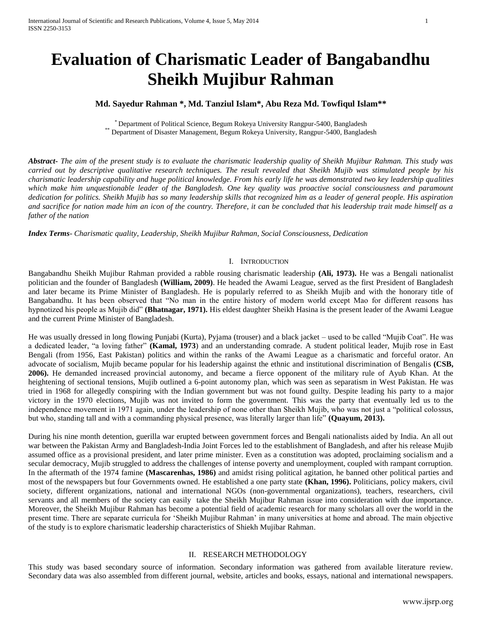# **Evaluation of Charismatic Leader of Bangabandhu Sheikh Mujibur Rahman**

# **Md. Sayedur Rahman \*, Md. Tanziul Islam\*, Abu Reza Md. Towfiqul Islam\*\***

\* Department of Political Science, Begum Rokeya University Rangpur-5400, Bangladesh \*\* Department of Disaster Management, Begum Rokeya University, Rangpur-5400, Bangladesh

*Abstract***-** *The aim of the present study is to evaluate the charismatic leadership quality of Sheikh Mujibur Rahman. This study was carried out by descriptive qualitative research techniques. The result revealed that Sheikh Mujib was stimulated people by his charismatic leadership capability and huge political knowledge. From his early life he was demonstrated two key leadership qualities which make him unquestionable leader of the Bangladesh. One key quality was proactive social consciousness and paramount dedication for politics. Sheikh Mujib has so many leadership skills that recognized him as a leader of general people. His aspiration and sacrifice for nation made him an icon of the country. Therefore, it can be concluded that his leadership trait made himself as a father of the nation*

*Index Terms*- *Charismatic quality, Leadership, Sheikh Mujibur Rahman, Social Consciousness, Dedication*

#### I. INTRODUCTION

Bangabandhu Sheikh Mujibur Rahman provided a rabble rousing charismatic leadership **(Ali, 1973).** He was a Bengali nationalist politician and the founder of Bangladesh **(William, 2009)**. He headed the [Awami League,](http://en.wikipedia.org/wiki/Awami_League) served as the first [President of Bangladesh](http://en.wikipedia.org/wiki/List_of_Presidents_of_Bangladesh) and later became its [Prime Minister of Bangladesh.](http://en.wikipedia.org/wiki/List_of_Prime_Ministers_of_Bangladesh) He is popularly referred to as Sheikh Mujib and with the honorary title of Bangabandhu. It has been observed that "No man in the entire history of modern world except Mao for different reasons has hypnotized his people as Mujib did" **(Bhatnagar, 1971).** His eldest daughter [Sheikh Hasina](http://en.wikipedia.org/wiki/Sheikh_Hasina) is the present leader of the Awami League and the current [Prime Minister of Bangladesh.](http://en.wikipedia.org/wiki/List_of_Prime_Ministers_of_Bangladesh)

He was usually dressed in long flowing Punjabi (Kurta), Pyjama (trouser) and a black jacket – used to be called "Mujib Coat". He was a dedicated leader, "a loving father" **(Kamal, 1973**) and an understanding comrade. A student political leader, Mujib rose in [East](http://en.wikipedia.org/wiki/East_Bengal)  [Bengali](http://en.wikipedia.org/wiki/East_Bengal) (from 1956, [East Pakistan\)](http://en.wikipedia.org/wiki/East_Pakistan) politics and within the ranks of the [Awami League](http://en.wikipedia.org/wiki/Awami_League) as a charismatic and forceful orator. An advocate of socialism, Mujib became popular for his leadership against the ethnic and institutional discrimination of Bengalis **(CSB, 2006).** He demanded increased provincial autonomy, and became a fierce opponent of the military rule of [Ayub Khan.](http://en.wikipedia.org/wiki/Ayub_Khan_%28Field_Marshal%29) At the heightening of sectional tensions, Mujib outlined a [6-point autonomy plan,](http://en.wikipedia.org/wiki/Six_point_movement) which was seen as separatism in [West Pakistan.](http://en.wikipedia.org/wiki/West_Pakistan) He was tried in 1968 for allegedly conspiring with the Indian government but was not found guilty. Despite leading his party to a major victory in the 1970 elections, Mujib was not invited to form the government. This was the party that eventually led us to the independence movement in 1971 again, under the leadership of none other than Sheikh Mujib, who was not just a "political colossus, but who, standing tall and with a commanding physical presence, was literally larger than life" **(Quayum, 2013).**

During his nine month detention, [guerilla war](http://en.wikipedia.org/wiki/Bangladesh_Liberation_War) erupted between government forces and Bengali nationalists aided by India. An all out war between the Pakistan Army and Bangladesh-India Joint Forces led to the establishment of Bangladesh, and after his release Mujib assumed office as a provisional president, and later prime minister. Even as a constitution was adopted, proclaiming socialism and a [secular democracy,](http://en.wikipedia.org/wiki/Secular_democracy) Mujib struggled to address the challenges of intense poverty and unemployment, coupled with rampant corruption. In the aftermath of the 1974 famine **(Mascarenhas, 1986)** and amidst rising political agitation, he banned other political parties and most of the newspapers but four Governments owned. He established a one party state **(Khan, 1996).** Politicians, policy makers, civil society, different organizations, national and international NGOs (non-governmental organizations), teachers, researchers, civil servants and all members of the society can easily take the Sheikh Mujibur Rahman issue into consideration with due importance. Moreover, the Sheikh Mujibur Rahman has become a potential field of academic research for many scholars all over the world in the present time. There are separate curricula for 'Sheikh Mujibur Rahman' in many universities at home and abroad. The main objective of the study is to explore charismatic leadership characteristics of Shiekh Mujibar Rahman.

#### II. RESEARCH METHODOLOGY

This study was based secondary source of information. Secondary information was gathered from available literature review. Secondary data was also assembled from different journal, website, articles and books, essays, national and international newspapers.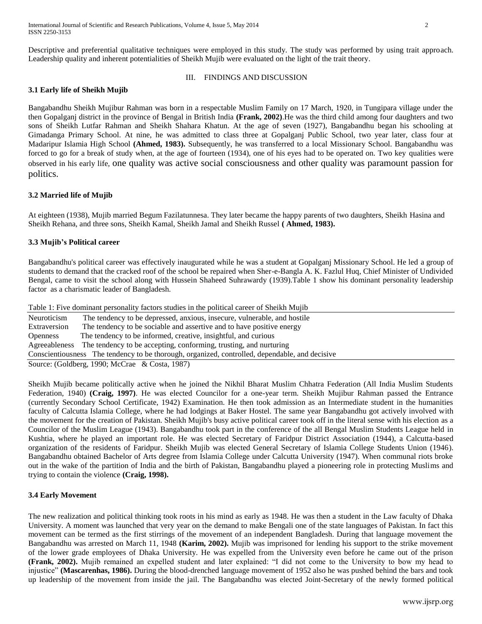Descriptive and preferential qualitative techniques were employed in this study. The study was performed by using trait approach. Leadership quality and inherent potentialities of Sheikh Mujib were evaluated on the light of the trait theory.

# III. FINDINGS AND DISCUSSION

# **3.1 Early life of Sheikh Mujib**

Bangabandhu Sheikh Mujibur Rahman was born in a respectable Muslim Family on 17 March, 1920, in Tungipara village under the then Gopalganj district in the province of Bengal in British India **(Frank, 2002)**.He was the third child among four daughters and two sons of Sheikh Lutfar Rahman and Sheikh Shahara Khatun. At the age of seven (1927), Bangabandhu began his schooling at Gimadanga Primary School. At nine, he was admitted to class three at Gopalganj Public School, two year later, class four at Madaripur Islamia High School **(Ahmed, 1983).** Subsequently, he was transferred to a local Missionary School. Bangabandhu was forced to go for a break of study when, at the age of fourteen (1934), one of his eyes had to be operated on. Two key qualities were observed in his early life, one quality was active social consciousness and other quality was paramount passion for politics.

# **3.2 Married life of Mujib**

At eighteen (1938), Mujib married Begum Fazilatunnesa. They later became the happy parents of two daughters, Sheikh Hasina and Sheikh Rehana, and three sons, Sheikh Kamal, Sheikh Jamal and Sheikh Russel **( Ahmed, 1983).**

# **3.3 Mujib's Political career**

Bangabandhu's political career was effectively inaugurated while he was a student at Gopalganj Missionary School. He led a group of students to demand that the cracked roof of the school be repaired when Sher-e-Bangla A. K. Fazlul Huq, Chief Minister of Undivided Bengal, came to visit the school along with Hussein Shaheed Suhrawardy (1939).Table 1 show his dominant personality leadership factor as a charismatic leader of Bangladesh.

Table 1: Five dominant personality factors studies in the political career of Sheikh Mujib Neuroticism The tendency to be depressed, anxious, insecure, vulnerable, and hostile Extraversion The tendency to be sociable and assertive and to have positive energy Openness The tendency to be informed, creative, insightful, and curious Agreeableness The tendency to be accepting, conforming, trusting, and nurturing Conscientiousness The tendency to be thorough, organized, controlled, dependable, and decisive Source: (Goldberg, 1990; McCrae & Costa, 1987)

Sheikh Mujib became politically active when he joined the Nikhil Bharat Muslim Chhatra Federation (All India Muslim Students Federation, 1940) **(Craig, 1997)**. He was elected Councilor for a one-year term. Sheikh Mujibur Rahman passed the Entrance (currently Secondary School Certificate, 1942) Examination. He then took admission as an Intermediate student in the humanities faculty of Calcutta Islamia College, where he had lodgings at Baker Hostel. The same year Bangabandhu got actively involved with the movement for the creation of Pakistan. Sheikh Mujib's busy active political career took off in the literal sense with his election as a Councilor of the Muslim League (1943). Bangabandhu took part in the conference of the all Bengal Muslim Students League held in Kushtia, where he played an important role. He was elected Secretary of Faridpur District Association (1944), a Calcutta-based organization of the residents of Faridpur. Sheikh Mujib was elected General Secretary of Islamia College Students Union (1946). Bangabandhu obtained Bachelor of Arts degree from Islamia College under Calcutta University (1947). When communal riots broke out in the wake of the partition of India and the birth of Pakistan, Bangabandhu played a pioneering role in protecting Muslims and trying to contain the violence **(Craig, 1998).**

# **3.4 Early Movement**

The new realization and political thinking took roots in his mind as early as 1948. He was then a student in the Law faculty of Dhaka University. A moment was launched that very year on the demand to make Bengali one of the state languages of Pakistan. In fact this movement can be termed as the first stirrings of the movement of an independent Bangladesh. During that language movement the Bangabandhu was arrested on March 11, 1948 **(Karim, 2002).** Mujib was imprisoned for lending his support to the strike movement of the lower grade employees of Dhaka University. He was expelled from the University even before he came out of the prison **(Frank, 2002).** Mujib remained an expelled student and later explained: "I did not come to the University to bow my head to injustice" **(Mascarenhas, 1986).** During the blood-drenched language movement of 1952 also he was pushed behind the bars and took up leadership of the movement from inside the jail. The Bangabandhu was elected Joint-Secretary of the newly formed political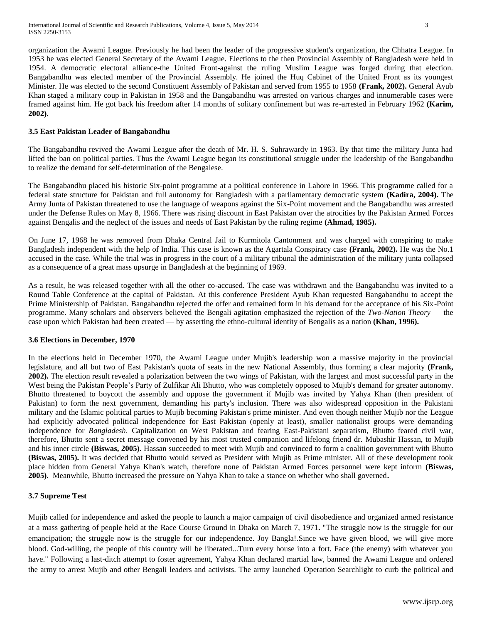organization the Awami League. Previously he had been the leader of the progressive student's organization, the Chhatra League. In 1953 he was elected General Secretary of the Awami League. Elections to the then Provincial Assembly of Bangladesh were held in 1954. A democratic electoral alliance-the United Front-against the ruling Muslim League was forged during that election. Bangabandhu was elected member of the Provincial Assembly. He joined the Huq Cabinet of the United Front as its youngest Minister. He was elected to the second Constituent Assembly of Pakistan and served from 1955 to 1958 **(Frank, 2002).** General Ayub Khan staged a military coup in Pakistan in 1958 and the Bangabandhu was arrested on various charges and innumerable cases were framed against him. He got back his freedom after 14 months of solitary confinement but was re-arrested in February 1962 **(Karim, 2002).**

# **3.5 East Pakistan Leader of Bangabandhu**

The Bangabandhu revived the Awami League after the death of Mr. H. S. Suhrawardy in 1963. By that time the military Junta had lifted the ban on political parties. Thus the Awami League began its constitutional struggle under the leadership of the Bangabandhu to realize the demand for self-determination of the Bengalese.

The Bangabandhu placed his historic Six-point programme at a political conference in Lahore in 1966. This programme called for a federal state structure for Pakistan and full autonomy for Bangladesh with a parliamentary democratic system **(Kadira, 2004).** The Army Junta of Pakistan threatened to use the language of weapons against the Six-Point movement and the Bangabandhu was arrested under the Defense Rules on May 8, 1966. There was rising discount in East Pakistan over the atrocities by the Pakistan Armed Forces against Bengalis and the neglect of the issues and needs of East Pakistan by the ruling regime **(Ahmad, 1985).**

On June 17, 1968 he was removed from Dhaka Central Jail to Kurmitola Cantonment and was charged with conspiring to make Bangladesh independent with the help of India. This case is known as the Agartala Conspiracy case **(Frank, 2002).** He was the No.1 accused in the case. While the trial was in progress in the court of a military tribunal the administration of the military junta collapsed as a consequence of a great mass upsurge in Bangladesh at the beginning of 1969.

As a result, he was released together with all the other co-accused. The case was withdrawn and the Bangabandhu was invited to a Round Table Conference at the capital of Pakistan. At this conference President Ayub Khan requested Bangabandhu to accept the Prime Ministership of Pakistan. Bangabandhu rejected the offer and remained form in his demand for the acceptance of his Six-Point programme. Many scholars and observers believed the Bengali agitation emphasized the rejection of the *[Two-Nation Theory](http://en.wikipedia.org/wiki/Two-Nation_Theory)* — the case upon which Pakistan had been created — by asserting the ethno-cultural identity of Bengalis as a nation **(Khan, 1996).**

## **3.6 Elections in December, 1970**

In the [elections held](http://en.wikipedia.org/wiki/Pakistani_general_election,_1970) in December 1970, the Awami League under Mujib's leadership won a massive majority in the provincial legislature, and all but two of East Pakistan's quota of seats in the new [National Assembly,](http://en.wikipedia.org/wiki/National_Assembly_of_Pakistan) thus forming a clear majority **(Frank, 2002).** The election result revealed a polarization between the two wings of Pakistan, with the largest and most successful party in the West being the [Pakistan People's Party](http://en.wikipedia.org/wiki/Pakistan_Peoples_Party) of [Zulfikar Ali Bhutto,](http://en.wikipedia.org/wiki/Zulfikar_Ali_Bhutto) who was completely opposed to Mujib's demand for greater autonomy. Bhutto threatened to boycott the assembly and oppose the government if Mujib was invited by [Yahya Khan](http://en.wikipedia.org/wiki/Yahya_Khan) (then president of Pakistan) to form the next government, demanding his party's inclusion. There was also widespread opposition in the Pakistani military and the Islamic political parties to Mujib becoming Pakistan's prime minister. And even though neither Mujib nor the League had explicitly advocated political independence for East Pakistan (openly at least), smaller nationalist groups were demanding independence for *Bangladesh*. Capitalization on West Pakistan and fearing East-Pakistani separatism, Bhutto feared civil war, therefore, Bhutto sent a secret message convened by his most trusted companion and lifelong friend dr. [Mubashir Hassan,](http://en.wikipedia.org/wiki/Mubashir_Hassan) to Mujib and his inner circle **(Biswas, 2005).** Hassan succeeded to meet with Mujib and convinced to form a coalition government with Bhutto **(Biswas, 2005).** It was decided that Bhutto would served as President with Mujib as Prime minister. All of these development took place hidden from General Yahya Khan's watch, therefore none of Pakistan Armed Forces personnel were kept inform **(Biswas, 2005).** Meanwhile, Bhutto increased the pressure on Yahya Khan to take a stance on whether who shall governed**.**

# **3.7 Supreme Test**

Mujib called for independence and asked the people to launch a major campaign of [civil disobedience](http://en.wikipedia.org/wiki/Civil_disobedience) and organized armed resistance at a mass gathering of people held at the [Race Course Ground](http://en.wikipedia.org/wiki/Suhrawardy_Udyan) in [Dhaka](http://en.wikipedia.org/wiki/Dhaka) on March 7, 1971**.** "The struggle now is the struggle for our emancipation; the struggle now is the struggle for our independence. Joy Bangla!.Since we have given blood, we will give more blood. God-willing, the people of this country will be liberated...Turn every house into a fort. Face (the enemy) with whatever you have." Following a last-ditch attempt to foster agreement, Yahya Khan declared martial law, banned the Awami League and ordered the army to arrest Mujib and other Bengali leaders and activists. The army launched [Operation Searchlight](http://en.wikipedia.org/wiki/Operation_Searchlight) to curb the political and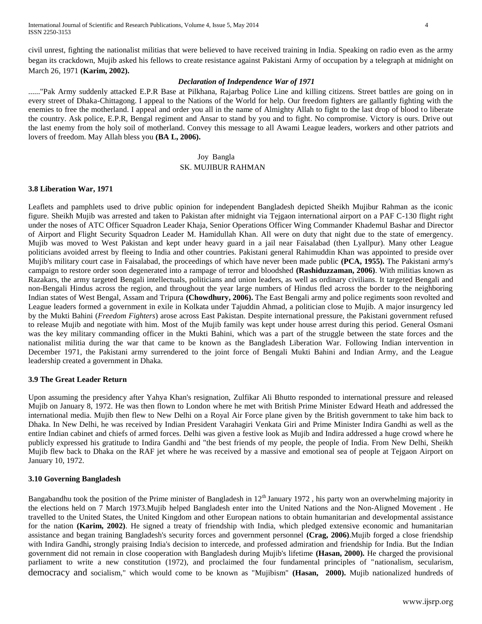civil unrest, fighting the nationalist militias that were believed to have received training in India. Speaking on radio even as the army began its crackdown, Mujib asked his fellows to create resistance against Pakistani Army of occupation by a telegraph at midnight on March 26, 1971 **(Karim, 2002).**

## *Declaration of Independence War of 1971*

......"Pak Army suddenly attacked E.P.R Base at Pilkhana, Rajarbag Police Line and killing citizens. Street battles are going on in every street of Dhaka-Chittagong. I appeal to the Nations of the World for help. Our freedom fighters are gallantly fighting with the enemies to free the motherland. I appeal and order you all in the name of Almighty Allah to fight to the last drop of blood to liberate the country. Ask police, E.P.R, Bengal regiment and Ansar to stand by you and to fight. No compromise. Victory is ours. Drive out the last enemy from the holy soil of motherland. Convey this message to all Awami League leaders, workers and other patriots and lovers of freedom. May Allah bless you **(BA L, 2006).**

# Joy Bangla SK. MUJIBUR RAHMAN

## **3.8 Liberation War, 1971**

Leaflets and pamphlets used to drive public opinion for independent Bangladesh depicted Sheikh Mujibur Rahman as the iconic figure. Sheikh Mujib was arrested and taken to Pakistan after midnight via Tejgaon international airport on a PAF C-130 flight right under the noses of ATC Officer Squadron Leader Khaja, Senior Operations Officer Wing Commander [Khademul Bashar](http://en.wikipedia.org/wiki/Khademul_Bashar) and Director of Airport and Flight Security Squadron Leader [M. Hamidullah Khan.](http://en.wikipedia.org/wiki/M._Hamidullah_Khan) All were on duty that night due to the state of emergency. Mujib was moved to West Pakistan and kept under heavy guard in a jail near [Faisalabad](http://en.wikipedia.org/wiki/Faisalabad) (then Lyallpur). Many other League politicians avoided arrest by fleeing to India and other countries. Pakistani general [Rahimuddin Khan](http://en.wikipedia.org/wiki/Rahimuddin_Khan) was appointed to preside over Mujib's military court case in [Faisalabad,](http://en.wikipedia.org/wiki/Faisalabad) the proceedings of which have never been made public **(PCA, 1955).** The Pakistani army's campaign to restore order soon degenerated into a rampage of terror and bloodshed **(Rashiduzzaman, 2006)**. With militias known as [Razakars,](http://en.wikipedia.org/wiki/Razakars_%28Pakistan%29) the army targeted Bengali intellectuals, politicians and union leaders, as well as ordinary civilians. It targeted Bengali and non-Bengali Hindus across the region, and throughout the year large numbers of Hindus fled across the border to the neighboring Indian states of [West Bengal,](http://en.wikipedia.org/wiki/West_Bengal) [Assam](http://en.wikipedia.org/wiki/Assam) and [Tripura](http://en.wikipedia.org/wiki/Tripura) **(Chowdhury, 2006).** The East Bengali army and police regiments soon [revolted](http://en.wikipedia.org/wiki/Mutiny) and League leaders formed a [government in exile](http://en.wikipedia.org/wiki/Government_in_exile) in Kolkata under [Tajuddin Ahmad,](http://en.wikipedia.org/wiki/Tajuddin_Ahmad) a politician close to Mujib. A major insurgency led by the [Mukti Bahini](http://en.wikipedia.org/wiki/Mukti_Bahini) (*Freedom Fighters*) arose across East Pakistan. Despite international pressure, the Pakistani government refused to release Mujib and negotiate with him. Most of the Mujib family was kept under house arrest during this period. General Osmani was the key military commanding officer in the Mukti Bahini, which was a part of the struggle between the state forces and the nationalist militia during the war that came to be known as the [Bangladesh Liberation War.](http://en.wikipedia.org/wiki/Bangladesh_Liberation_War) Following [Indian intervention](http://en.wikipedia.org/wiki/Indo-Pakistani_War_of_1971) in December 1971, the Pakistani army surrendered to the joint force of Bengali Mukti Bahini and Indian Army, and the League leadership created a government in Dhaka.

## **3.9 The Great Leader Return**

Upon assuming the presidency after Yahya Khan's resignation, [Zulfikar Ali Bhutto](http://en.wikipedia.org/wiki/Zulfikar_Ali_Bhutto) responded to international pressure and released Mujib on January 8, 1972. He was then flown to London where he met with British Prime Minister [Edward Heath](http://en.wikipedia.org/wiki/Edward_Heath) and addressed the international media. Mujib then flew to New Delhi on a [Royal Air Force](http://en.wikipedia.org/wiki/Royal_Air_Force) plane given by the British government to take him back to Dhaka. In New Delhi, he was received by Indian President [Varahagiri Venkata Giri](http://en.wikipedia.org/wiki/Varahagiri_Venkata_Giri) and Prime Minister [Indira Gandhi](http://en.wikipedia.org/wiki/Indira_Gandhi) as well as the entire Indian cabinet and chiefs of armed forces. Delhi was given a festive look as Mujib and Indira addressed a huge crowd where he publicly expressed his gratitude to [Indira Gandhi](http://en.wikipedia.org/wiki/Indira_Gandhi) and "the best friends of my people, the people of India. From New Delhi, Sheikh Mujib flew back to Dhaka on the RAF jet where he was received by a massive and emotional sea of people at Tejgaon Airport on January 10, 1972.

# **3.10 Governing Bangladesh**

Bangabandhu took the position of the Prime minister of Bangladesh in  $12<sup>th</sup>$  January 1972, his party won an overwhelming majority in the elections held on 7 March 1973.Mujib helped Bangladesh enter into the [United Nations](http://en.wikipedia.org/wiki/United_Nations) and the [Non-Aligned Movement](http://en.wikipedia.org/wiki/Non-Aligned_Movement) . He travelled to the United States, the United Kingdom and other European nations to obtain humanitarian and developmental assistance for the nation **(Karim, 2002)**. He signed a treaty of friendship with India, which pledged extensive economic and humanitarian assistance and began training Bangladesh's security forces and government personnel **(Crag, 2006)**.Mujib forged a close friendship with Indira Gandhi**,** strongly praising India's decision to intercede, and professed admiration and friendship for India. But the Indian government did not remain in close cooperation with Bangladesh during Mujib's lifetime **(Hasan, 2000).** He charged the provisional parliament to write a new [constitution](http://en.wikipedia.org/wiki/Constitution_of_Bangladesh) (1972), and proclaimed the four fundamental principles of ["nationalism,](http://en.wikipedia.org/wiki/Nationalism) [secularism,](http://en.wikipedia.org/wiki/Secularism) democracy and [socialism,"](http://en.wikipedia.org/wiki/Socialism) which would come to be known as "Mujibism" **(Hasan, 2000).** Mujib [nationalized](http://en.wikipedia.org/wiki/Nationalization) hundreds of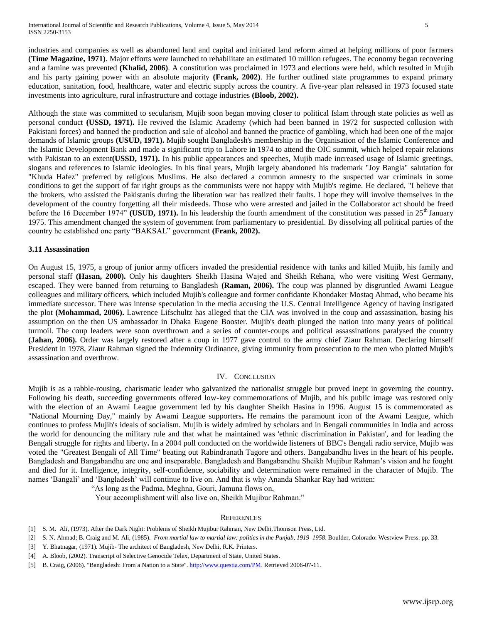industries and companies as well as abandoned land and capital and initiated land reform aimed at helping millions of poor farmers **(Time Magazine, 1971)**. Major efforts were launched to rehabilitate an estimated 10 million refugees. The economy began recovering and a [famine](http://en.wikipedia.org/wiki/Famine) was prevented **(Khalid, 2006)**. A constitution was proclaimed in 1973 and [elections](http://en.wikipedia.org/wiki/Elections_in_Bangladesh) were held, which resulted in Mujib and his party gaining power with an absolute majority **(Frank, 2002)**. He further outlined state programmes to expand primary [education,](http://en.wikipedia.org/wiki/Education_in_Bangladesh) sanitation, food, healthcare, water and electric supply across the country. A five-year plan released in 1973 focused state investments into agriculture, rural infrastructure and [cottage industries](http://en.wikipedia.org/wiki/Cottage_industry) **(Bloob, 2002).**

Although the state was committed to secularism, Mujib soon began moving closer to [political Islam](http://en.wikipedia.org/wiki/Political_aspects_of_Islam) through state policies as well as personal conduct **(USSD, 1971).** He revived the [Islamic Academy](http://en.wikipedia.org/wiki/Islamic_Foundation_Bangladesh) (which had been banned in 1972 for suspected collusion with Pakistani forces) and banned the production and sale of alcohol and banned the practice of gambling, which had been one of the major demands of Islamic groups **(USUD, 1971).** Mujib sought Bangladesh's membership in the [Organisation of the Islamic Conference](http://en.wikipedia.org/wiki/Organisation_of_Islamic_Cooperation) and the [Islamic Development Bank](http://en.wikipedia.org/wiki/Islamic_Development_Bank) and made a significant trip to [Lahore](http://en.wikipedia.org/wiki/Lahore) in 1974 to attend the OIC summit, which helped repair relations with Pakistan to an extent**(USSD, 1971).** In his public appearances and speeches, Mujib made increased usage of Islamic greetings, slogans and references to Islamic ideologies. In his final years, Mujib largely abandoned his trademark "Joy Bangla" salutation for "Khuda Hafez" preferred by religious Muslims. He also declared a common amnesty to the suspected war criminals in some conditions to get the support of far right groups as the communists were not happy with Mujib's regime. He declared, "I believe that the brokers, who assisted the Pakistanis during the liberation war has realized their faults. I hope they will involve themselves in the development of the country forgetting all their misdeeds. Those who were arrested and jailed in the Collaborator act should be freed before the 16 December 1974" **(USUD, 1971).** In his leadership the fourth amendment of the constitution was passed in  $25<sup>th</sup>$  January 1975. This amendment changed the system of government from parliamentary to presidential. By dissolving all political parties of the country he established one party "BAKSAL" government **(Frank, 2002).**

#### **3.11 Assassination**

On August 15, 1975, a group of junior army officers invaded the presidential residence with [tanks](http://en.wikipedia.org/wiki/Tank) and killed Mujib, his family and personal staff **(Hasan, 2000).** Only his daughters [Sheikh Hasina Wajed](http://en.wikipedia.org/wiki/Sheikh_Hasina_Wajed) and Sheikh Rehana, who were visiting [West Germany,](http://en.wikipedia.org/wiki/West_Germany) escaped. They were banned from returning to Bangladesh **(Raman, 2006).** The coup was planned by disgruntled Awami League colleagues and military officers, which included Mujib's colleague and former confidante [Khondaker Mostaq Ahmad,](http://en.wikipedia.org/wiki/Khondaker_Mostaq_Ahmad) who became his immediate successor. There was intense speculation in the media accusing the U.S. [Central Intelligence Agency](http://en.wikipedia.org/wiki/Central_Intelligence_Agency) of having instigated the plot **(Mohammad, 2006).** Lawrence Lifschultz has alleged that the CIA was involved in the coup and assassination, basing his assumption on the then US ambassador in Dhaka Eugene [Booster.](http://en.wikipedia.org/w/index.php?title=Eugene_Booster&action=edit&redlink=1) Mujib's death plunged the nation into many years of political turmoil. The coup leaders were soon overthrown and a series of counter-coups and political assassinations paralysed the country **(Jahan, 2006).** Order was largely restored after a coup in 1977 gave control to the army chief [Ziaur Rahman.](http://en.wikipedia.org/wiki/Ziaur_Rahman) Declaring himself President in 1978, Ziaur Rahman signed the [Indemnity Ordinance,](http://en.wikipedia.org/wiki/Indemnity_Act) giving immunity from prosecution to the men who plotted Mujib's assassination and overthrow.

## IV. CONCLUSION

Mujib is as a rabble-rousing, charismatic leader who galvanized the nationalist struggle but proved inept in governing the country**.**  Following his death, succeeding governments offered low-key commemorations of Mujib, and his public image was restored only with the election of an Awami League government led by his daughter Sheikh Hasina in 1996. August 15 is commemorated as "National Mourning Day," mainly by Awami League supporters**.** He remains the paramount icon of the Awami League, which continues to profess Mujib's ideals of socialism. Mujib is widely admired by scholars and in Bengali communities in India and across the world for denouncing the military rule and that what he maintained was 'ethnic discrimination in Pakistan', and for leading the Bengali struggle for rights and liberty**.** In a 2004 poll conducted on the worldwide listeners of [BBC's](http://en.wikipedia.org/wiki/BBC) Bengali radio service, Mujib was voted the "Greatest Bengali of All Time" beating out [Rabindranath Tagore](http://en.wikipedia.org/wiki/Rabindranath_Tagore) and others. Bangabandhu lives in the heart of his people**.** Bangladesh and Bangabandhu are one and inseparable. Bangladesh and Bangabandhu Sheikh Mujibur Rahman's vision and he fought and died for it. Intelligence, integrity, self-confidence, sociability and determination were remained in the character of Mujib. The names 'Bangali' and 'Bangladesh' will continue to live on. And that is why Ananda Shankar Ray had written:

"As long as the Padma, Meghna, Gouri, Jamuna flows on,

Your accomplishment will also live on, Sheikh Mujibur Rahman."

#### **REFERENCES**

- [1] S. M. Ali, (1973). After the Dark Night: Problems of Sheikh Mujibur Rahman, New Delhi,Thomson Press, Ltd.
- [2] S. N. Ahmad; B. Craig and M. Ali, (1985). *From martial law to martial law: politics in the Punjab, 1919–1958*. Boulder, Colorado[: Westview Press.](http://en.wikipedia.org/wiki/Westview_Press) pp. 33.
- [3] Y. Bhatnagar, (1971). Mujib- The architect of Bangladesh, New Delhi, R.K. Printers.
- [4] A. Bloob, (2002). [Transcript of Selective Genocide Telex,](http://www.gwu.edu/~nsarchiv/NSAEBB/NSAEBB79/BEBB1.pdf) Department of State, United States.
- [5] B. Craig, (2006)[. "Bangladesh: From a Nation to a State".](http://www.questia.com/PM.qst?a=o&d=27169589) [http://www.questia.com/PM.](http://www.questia.com/PM) Retrieved 2006-07-11.